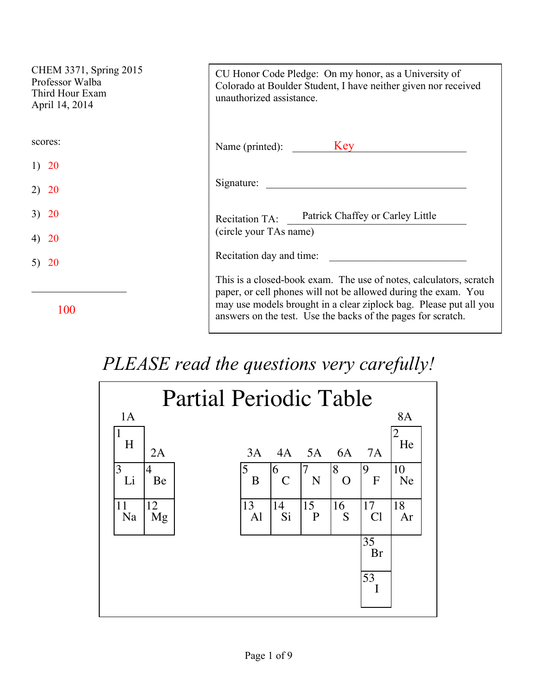| CHEM 3371, Spring 2015<br>Professor Walba<br>Third Hour Exam<br>April 14, 2014 | CU Honor Code Pledge: On my honor, as a University of<br>Colorado at Boulder Student, I have neither given nor received<br>unauthorized assistance.                                                                                                                       |
|--------------------------------------------------------------------------------|---------------------------------------------------------------------------------------------------------------------------------------------------------------------------------------------------------------------------------------------------------------------------|
| scores:                                                                        | Name (printed): Key                                                                                                                                                                                                                                                       |
| 1) 20                                                                          |                                                                                                                                                                                                                                                                           |
| <b>20</b>                                                                      | Signature:                                                                                                                                                                                                                                                                |
| <b>20</b><br>3)                                                                | Patrick Chaffey or Carley Little<br><b>Recitation TA:</b>                                                                                                                                                                                                                 |
| <b>20</b>                                                                      | (circle your TAs name)                                                                                                                                                                                                                                                    |
| <b>20</b><br>5)                                                                | Recitation day and time:                                                                                                                                                                                                                                                  |
| 100                                                                            | This is a closed-book exam. The use of notes, calculators, scratch<br>paper, or cell phones will not be allowed during the exam. You<br>may use models brought in a clear ziplock bag. Please put all you<br>answers on the test. Use the backs of the pages for scratch. |

## *PLEASE read the questions very carefully!*

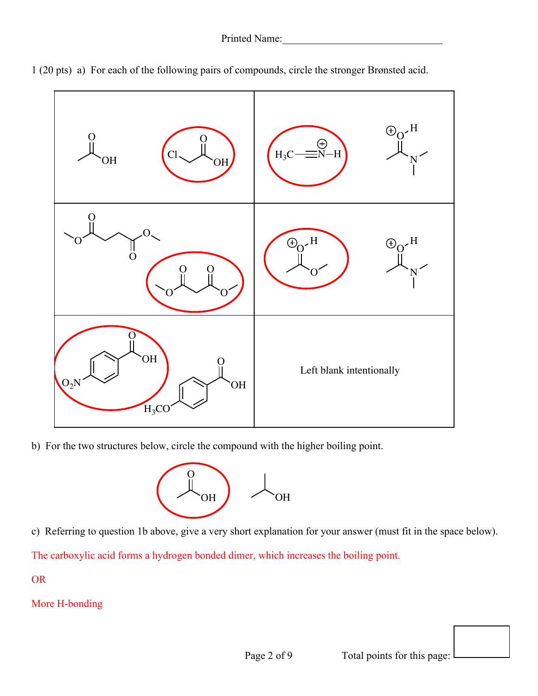

1 (20 pts) a) For each of the following pairs of compounds, circle the stronger Brønsted acid.

b) For the two structures below, circle the compound with the higher boiling point.



c) Referring to question 1b above, give a very short explanation for your answer (must fit in the space below).

The carboxylic acid forms a hydrogen bonded dimer, which increases the boiling point.

OR

More H-bonding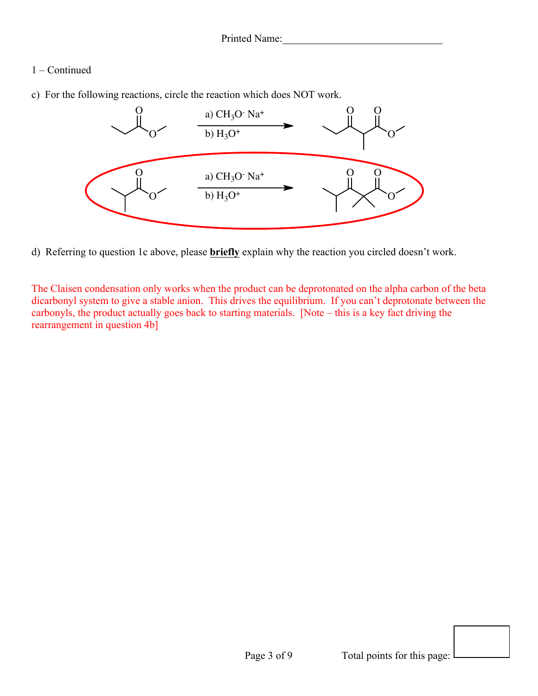## 1 – Continued

c) For the following reactions, circle the reaction which does NOT work.



d) Referring to question 1c above, please **briefly** explain why the reaction you circled doesn't work.

The Claisen condensation only works when the product can be deprotonated on the alpha carbon of the beta dicarbonyl system to give a stable anion. This drives the equilibrium. If you can't deprotonate between the carbonyls, the product actually goes back to starting materials. [Note – this is a key fact driving the rearrangement in question 4b]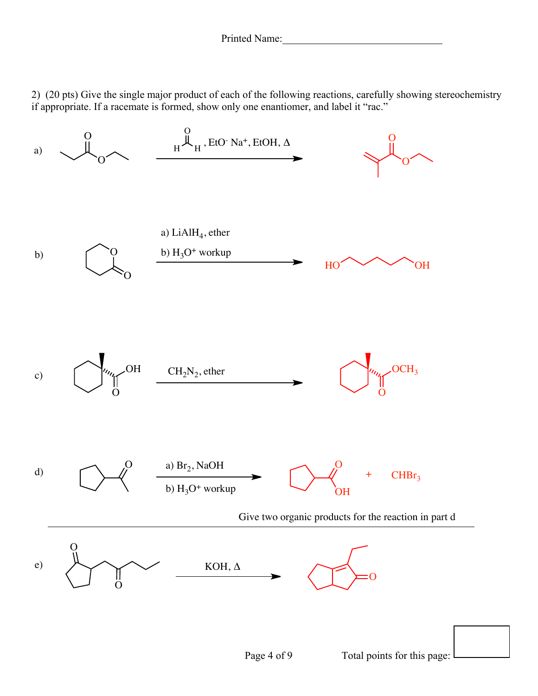2) (20 pts) Give the single major product of each of the following reactions, carefully showing stereochemistry if appropriate. If a racemate is formed, show only one enantiomer, and label it "rac."

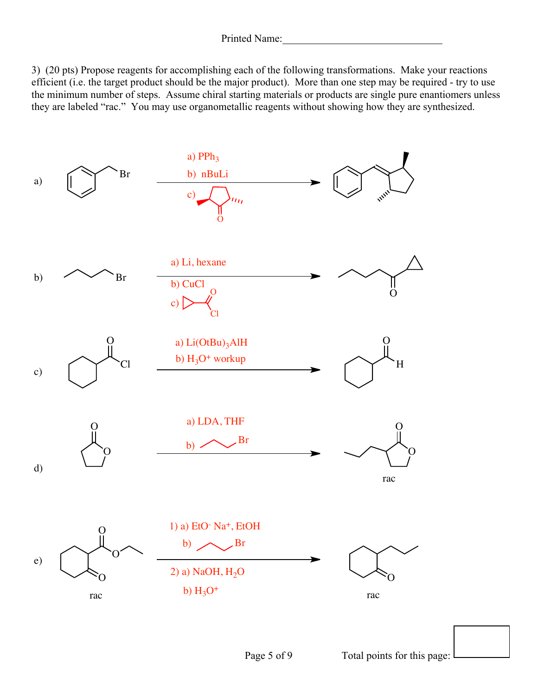3) (20 pts) Propose reagents for accomplishing each of the following transformations. Make your reactions efficient (i.e. the target product should be the major product). More than one step may be required - try to use the minimum number of steps. Assume chiral starting materials or products are single pure enantiomers unless they are labeled "rac." You may use organometallic reagents without showing how they are synthesized.

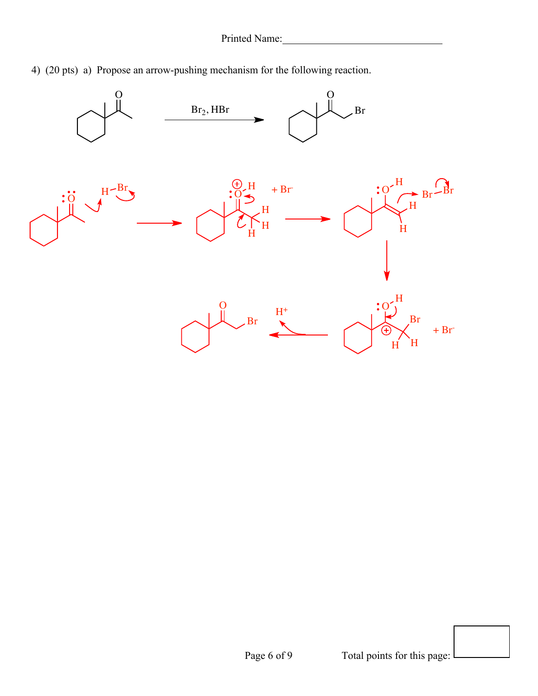

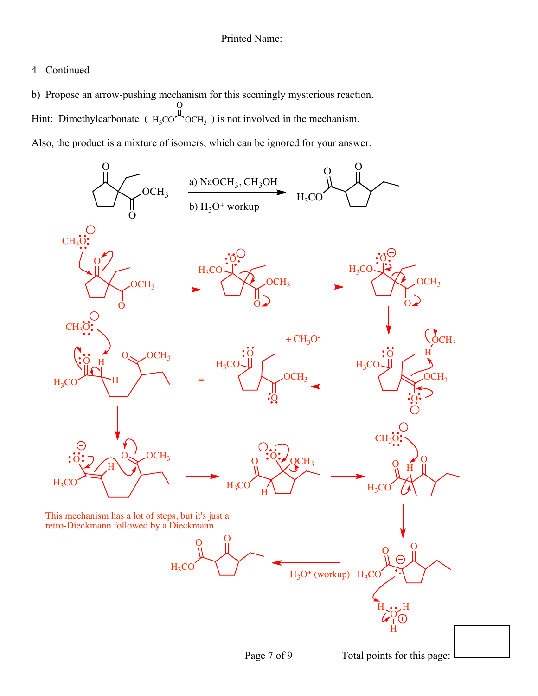## 4 - Continued

b) Propose an arrow-pushing mechanism for this seemingly mysterious reaction. Hint: Dimethylcarbonate ( $_{\text{H}_3\text{CO}}$  $\sim$ OCH<sub>3</sub>) is not involved in the mechanism. Also, the product is a mixture of isomers, which can be ignored for your answer.  $\overline{O}$  $OCH<sub>3</sub>$ 



Page 7 of 9 Total points for this page: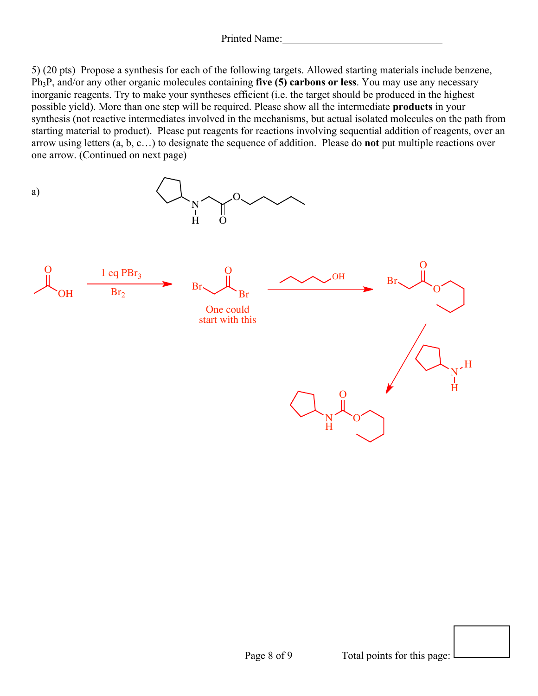Printed Name:

5) (20 pts) Propose a synthesis for each of the following targets. Allowed starting materials include benzene, Ph3P, and/or any other organic molecules containing **five (5) carbons or less**. You may use any necessary inorganic reagents. Try to make your syntheses efficient (i.e. the target should be produced in the highest possible yield). More than one step will be required. Please show all the intermediate **products** in your synthesis (not reactive intermediates involved in the mechanisms, but actual isolated molecules on the path from starting material to product). Please put reagents for reactions involving sequential addition of reagents, over an arrow using letters (a, b, c…) to designate the sequence of addition. Please do **not** put multiple reactions over one arrow. (Continued on next page)